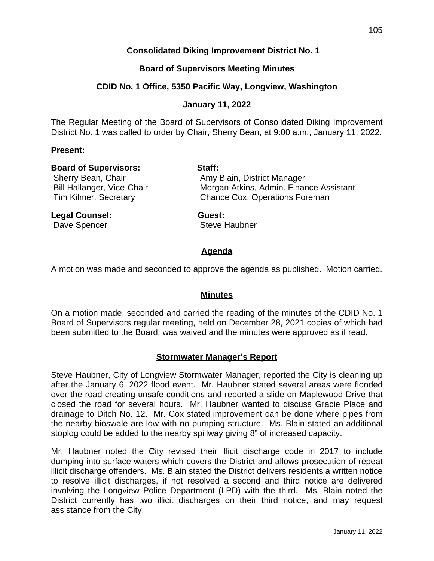# **Consolidated Diking Improvement District No. 1**

## **Board of Supervisors Meeting Minutes**

## **CDID No. 1 Office, 5350 Pacific Way, Longview, Washington**

## **January 11, 2022**

The Regular Meeting of the Board of Supervisors of Consolidated Diking Improvement District No. 1 was called to order by Chair, Sherry Bean, at 9:00 a.m., January 11, 2022.

### **Present:**

| <b>Board of Supervisors:</b><br>Sherry Bean, Chair<br>Bill Hallanger, Vice-Chair<br><b>Tim Kilmer, Secretary</b> | Staff:<br>Amy Blain, District Manager<br>Morgan Atkins, Admin. Finance Assistant<br><b>Chance Cox, Operations Foreman</b> |                |        |
|------------------------------------------------------------------------------------------------------------------|---------------------------------------------------------------------------------------------------------------------------|----------------|--------|
|                                                                                                                  |                                                                                                                           | Legal Counsel: | Guest: |

Dave Spencer Steve Haubner

# **Agenda**

A motion was made and seconded to approve the agenda as published. Motion carried.

## **Minutes**

On a motion made, seconded and carried the reading of the minutes of the CDID No. 1 Board of Supervisors regular meeting, held on December 28, 2021 copies of which had been submitted to the Board, was waived and the minutes were approved as if read.

## **Stormwater Manager's Report**

Steve Haubner, City of Longview Stormwater Manager, reported the City is cleaning up after the January 6, 2022 flood event. Mr. Haubner stated several areas were flooded over the road creating unsafe conditions and reported a slide on Maplewood Drive that closed the road for several hours. Mr. Haubner wanted to discuss Gracie Place and drainage to Ditch No. 12. Mr. Cox stated improvement can be done where pipes from the nearby bioswale are low with no pumping structure. Ms. Blain stated an additional stoplog could be added to the nearby spillway giving 8" of increased capacity.

Mr. Haubner noted the City revised their illicit discharge code in 2017 to include dumping into surface waters which covers the District and allows prosecution of repeat illicit discharge offenders. Ms. Blain stated the District delivers residents a written notice to resolve illicit discharges, if not resolved a second and third notice are delivered involving the Longview Police Department (LPD) with the third. Ms. Blain noted the District currently has two illicit discharges on their third notice, and may request assistance from the City.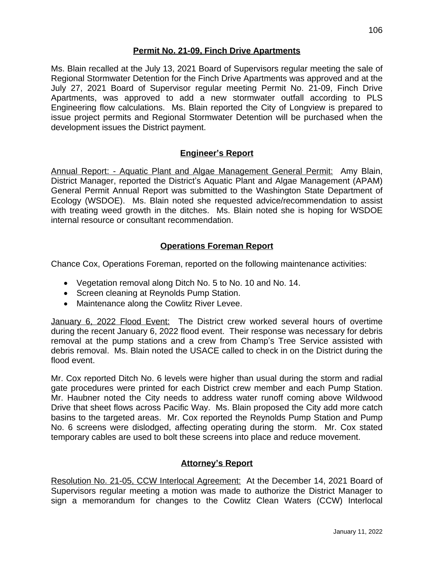# **Permit No. 21-09, Finch Drive Apartments**

Ms. Blain recalled at the July 13, 2021 Board of Supervisors regular meeting the sale of Regional Stormwater Detention for the Finch Drive Apartments was approved and at the July 27, 2021 Board of Supervisor regular meeting Permit No. 21-09, Finch Drive Apartments, was approved to add a new stormwater outfall according to PLS Engineering flow calculations. Ms. Blain reported the City of Longview is prepared to issue project permits and Regional Stormwater Detention will be purchased when the development issues the District payment.

# **Engineer's Report**

Annual Report: - Aquatic Plant and Algae Management General Permit: Amy Blain, District Manager, reported the District's Aquatic Plant and Algae Management (APAM) General Permit Annual Report was submitted to the Washington State Department of Ecology (WSDOE). Ms. Blain noted she requested advice/recommendation to assist with treating weed growth in the ditches. Ms. Blain noted she is hoping for WSDOE internal resource or consultant recommendation.

# **Operations Foreman Report**

Chance Cox, Operations Foreman, reported on the following maintenance activities:

- Vegetation removal along Ditch No. 5 to No. 10 and No. 14.
- Screen cleaning at Reynolds Pump Station.
- Maintenance along the Cowlitz River Levee.

January 6, 2022 Flood Event: The District crew worked several hours of overtime during the recent January 6, 2022 flood event. Their response was necessary for debris removal at the pump stations and a crew from Champ's Tree Service assisted with debris removal. Ms. Blain noted the USACE called to check in on the District during the flood event.

Mr. Cox reported Ditch No. 6 levels were higher than usual during the storm and radial gate procedures were printed for each District crew member and each Pump Station. Mr. Haubner noted the City needs to address water runoff coming above Wildwood Drive that sheet flows across Pacific Way. Ms. Blain proposed the City add more catch basins to the targeted areas. Mr. Cox reported the Reynolds Pump Station and Pump No. 6 screens were dislodged, affecting operating during the storm. Mr. Cox stated temporary cables are used to bolt these screens into place and reduce movement.

# **Attorney's Report**

Resolution No. 21-05, CCW Interlocal Agreement: At the December 14, 2021 Board of Supervisors regular meeting a motion was made to authorize the District Manager to sign a memorandum for changes to the Cowlitz Clean Waters (CCW) Interlocal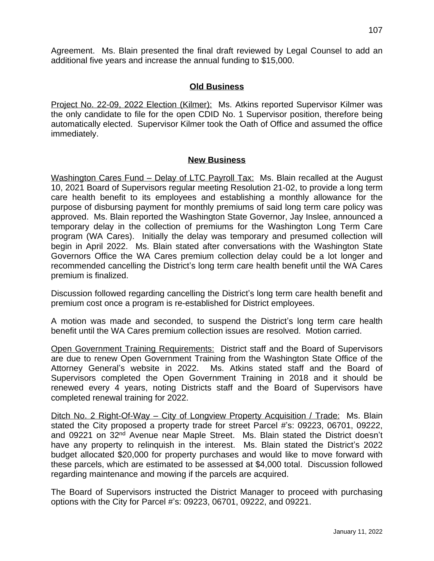# **Old Business**

Project No. 22-09, 2022 Election (Kilmer): Ms. Atkins reported Supervisor Kilmer was the only candidate to file for the open CDID No. 1 Supervisor position, therefore being automatically elected. Supervisor Kilmer took the Oath of Office and assumed the office immediately.

## **New Business**

Washington Cares Fund – Delay of LTC Payroll Tax: Ms. Blain recalled at the August 10, 2021 Board of Supervisors regular meeting Resolution 21-02, to provide a long term care health benefit to its employees and establishing a monthly allowance for the purpose of disbursing payment for monthly premiums of said long term care policy was approved. Ms. Blain reported the Washington State Governor, Jay Inslee, announced a temporary delay in the collection of premiums for the Washington Long Term Care program (WA Cares). Initially the delay was temporary and presumed collection will begin in April 2022. Ms. Blain stated after conversations with the Washington State Governors Office the WA Cares premium collection delay could be a lot longer and recommended cancelling the District's long term care health benefit until the WA Cares premium is finalized.

Discussion followed regarding cancelling the District's long term care health benefit and premium cost once a program is re-established for District employees.

A motion was made and seconded, to suspend the District's long term care health benefit until the WA Cares premium collection issues are resolved. Motion carried.

Open Government Training Requirements: District staff and the Board of Supervisors are due to renew Open Government Training from the Washington State Office of the Attorney General's website in 2022. Ms. Atkins stated staff and the Board of Supervisors completed the Open Government Training in 2018 and it should be renewed every 4 years, noting Districts staff and the Board of Supervisors have completed renewal training for 2022.

Ditch No. 2 Right-Of-Way – City of Longview Property Acquisition / Trade: Ms. Blain stated the City proposed a property trade for street Parcel #'s: 09223, 06701, 09222, and 09221 on 32<sup>nd</sup> Avenue near Maple Street. Ms. Blain stated the District doesn't have any property to relinquish in the interest. Ms. Blain stated the District's 2022 budget allocated \$20,000 for property purchases and would like to move forward with these parcels, which are estimated to be assessed at \$4,000 total. Discussion followed regarding maintenance and mowing if the parcels are acquired.

The Board of Supervisors instructed the District Manager to proceed with purchasing options with the City for Parcel #'s: 09223, 06701, 09222, and 09221.